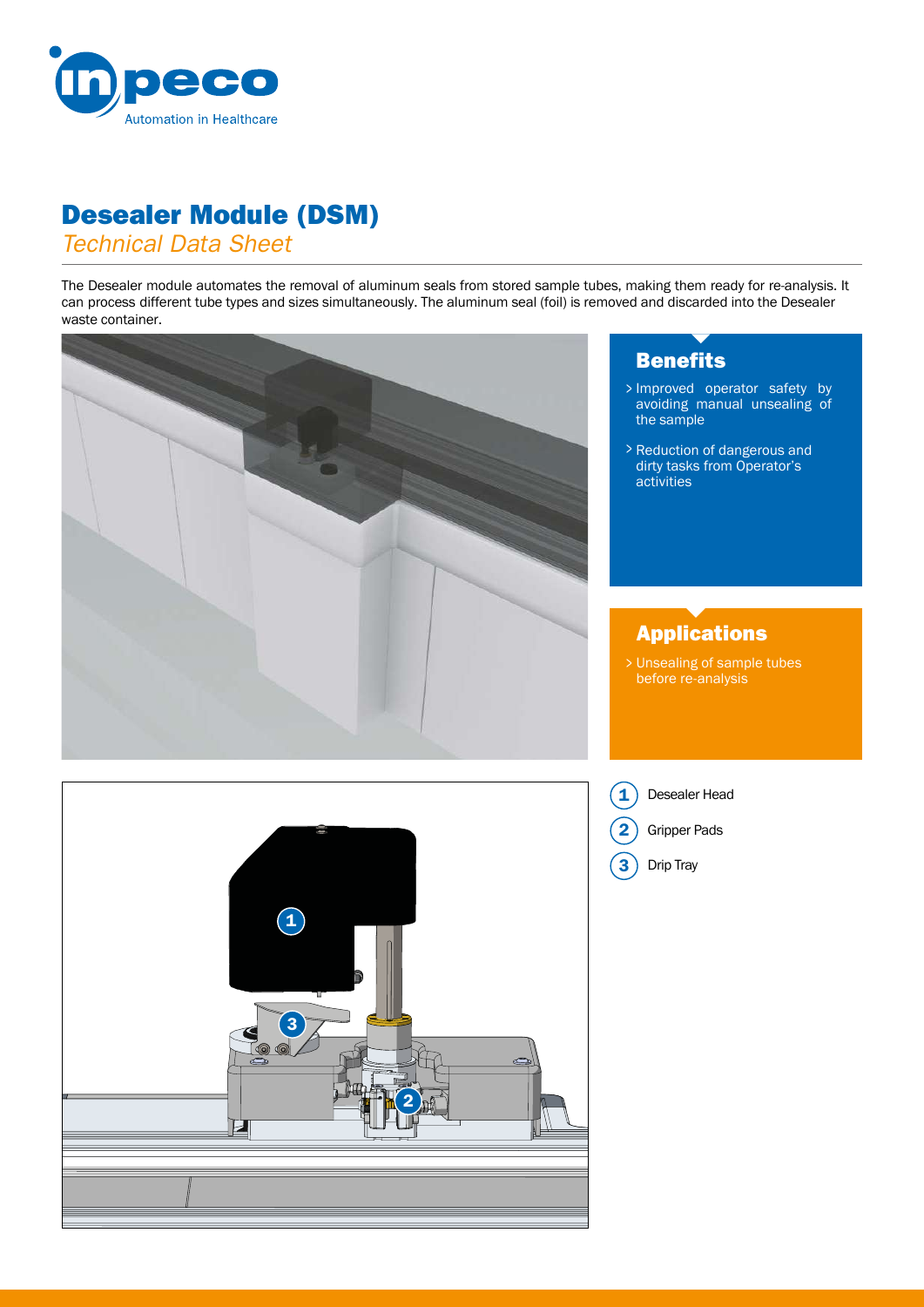

## Desealer Module (DSM)

*Technical Data Sheet*

The Desealer module automates the removal of aluminum seals from stored sample tubes, making them ready for re-analysis. It can process different tube types and sizes simultaneously. The aluminum seal (foil) is removed and discarded into the Desealer waste container.



2

3

Ø